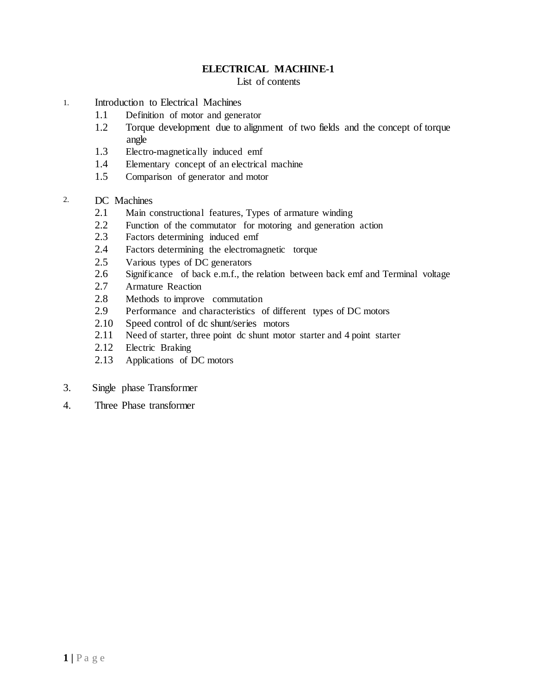#### **ELECTRICAL MACHINE-1**

List of contents

- 1. Introduction to Electrical Machines
	- 1.1 Definition of motor and generator
	- 1.2 Torque development due to alignment of two fields and the concept of torque angle
	- 1.3 Electro-magnetically induced emf
	- 1.4 Elementary concept of an electrical machine
	- 1.5 Comparison of generator and motor
- 2. DC Machines
	- 2.1 Main constructional features, Types of armature winding
	- 2.2 Function of the commutator for motoring and generation action
	- 2.3 Factors determining induced emf
	- 2.4 Factors determining the electromagnetic torque
	- 2.5 Various types of DC generators
	- 2.6 Significance of back e.m.f., the relation between back emf and Terminal voltage
	- 2.7 Armature Reaction
	- 2.8 Methods to improve commutation<br>2.9 Performance and characteristics of
	- Performance and characteristics of different types of DC motors
	- 2.10 Speed control of dc shunt/series motors
	- 2.11 Need of starter, three point dc shunt motor starter and 4 point starter
	- 2.12 Electric Braking
	- 2.13 Applications of DC motors
- 3. Single phase Transformer
- 4. Three Phase transformer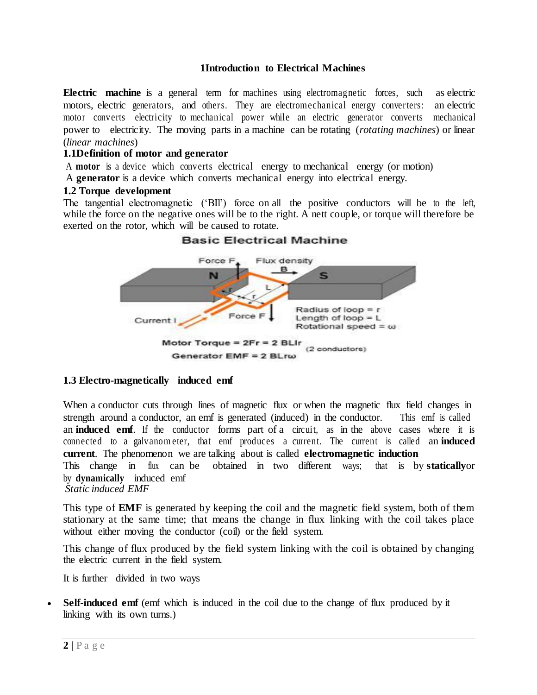#### **1Introduction to Electrical Machines**

**Electric machine** is a general term [for machines u](https://en.wikipedia.org/wiki/Machine)sing [electromagnetic forces, s](https://en.wikipedia.org/wiki/Electromagnetism)uch a[s electric](https://en.wikipedia.org/wiki/Electric_motor) [motors, electric](https://en.wikipedia.org/wiki/Electric_motor) [generators,](https://en.wikipedia.org/wiki/Electric_generator) and others. They are [electromechanical e](https://en.wikipedia.org/wiki/Electromechanical)nergy converters: an electric motor converts electricity to [mechanical power w](https://en.wikipedia.org/wiki/Mechanical_power)hile an electric generator converts mechanical power to electricity. The moving parts in a machine can be rotating (*rotating machines*) or linear (*linear machines*)

#### **1.1Definition of motor and generator**

A **motor** is a device which converts electrical energy to mechanical energy (or motion)

A **generator** is a device which converts mechanical energy into electrical energy.

#### **1.2 Torque development**

The tangential electromagnetic ('BIl') force on all the positive conductors will be to the left, while the force on the negative ones will be to the right. A nett couple, or torque will therefore be exerted on the rotor, which will be caused to rotate.



#### **Basic Electrical Machine**

#### **1.3 Electro-magnetically induced emf**

When a conductor cuts through lines of magnetic flux or when the magnetic flux field changes in strength around a conductor, an emf is generated (induced) in the conductor. This emf is called an **induced emf**. If the conductor forms part of a circuit, as in the above cases where it is connected to a galvanom eter, that emf produces a current. The current is called an **induced current**. The phenomenon we are talking about is called **electromagnetic induction** This change in flux can be obtained in two different ways; that is by **statically**or by **dynamically** induced emf *Static induced EMF*

This type of **EMF** is generated by keeping the coil and the magnetic field system, both of them stationary at the same time; that means the change in flux linking with the coil takes place without either moving the conductor (coil) or the field system.

This change of flux produced by the field system linking with the coil is obtained by changing the electric current in the field system.

It is further divided in two ways

**Self-induced emf** (emf which is induced in the coil due to the change of flux produced by it linking with its own turns.)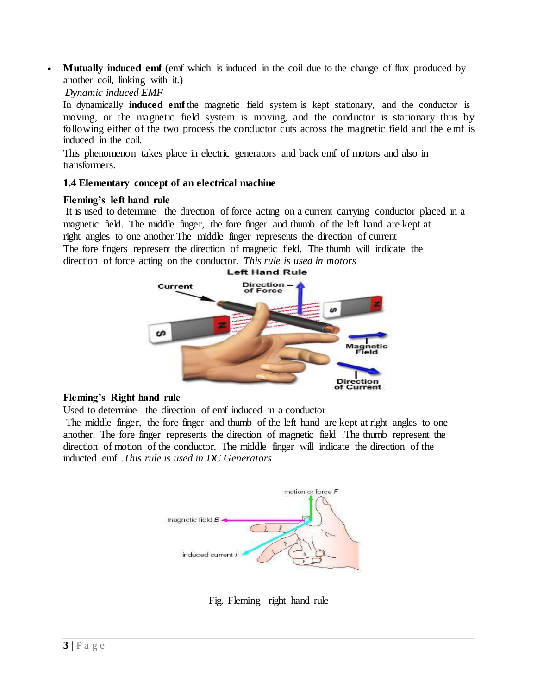**Mutually induced emf** (emf which is induced in the coil due to the change of flux produced by another coil, linking with it.)

## *Dynamic induced EMF*

In dynamically **induced emf** the magnetic field system is kept stationary, and the conductor is moving, or the magnetic field system is moving, and the conductor is stationary thus by following either of the two process the conductor cuts across the magnetic field and the emf is induced in the coil.

This phenomenon takes place in electric generators and back emf of motors and also in transformers.

# **1.4 Elementary concept of an electrical machine**

#### **Fleming's left hand rule**

It is used to determine the direction of force acting on a current carrying conductor placed in a magnetic field. The middle finger, the fore finger and thumb of the left hand are kept at right angles to one another.The middle finger represents the direction of current The fore fingers represent the direction of magnetic field. The thumb will indicate the direction of force acting on the conductor. *This rule is used in motors*



#### **Fleming's Right hand rule**

Used to determine the direction of emf induced in a conductor

The middle finger, the fore finger and thumb of the left hand are kept at right angles to one another. The fore finger represents the direction of magnetic field .The thumb represent the direction of motion of the conductor. The middle finger will indicate the direction of the inducted emf .*This rule is used in DC Generators*



Fig. Fleming right hand rule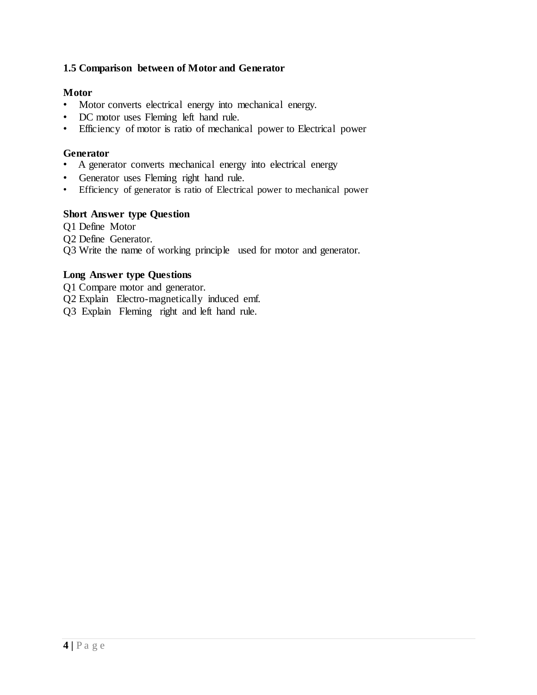# **1.5 Comparison between of Motor and Generator**

## **Motor**

- Motor converts electrical energy into mechanical energy.
- DC motor uses Fleming left hand rule.
- Efficiency of motor is ratio of mechanical power to Electrical power

#### **Generator**

- A generator converts mechanical energy into electrical energy
- Generator uses Fleming right hand rule.
- Efficiency of generator is ratio of Electrical power to mechanical power

## **Short Answer type Question**

Q1 Define Motor Q2 Define Generator. Q3 Write the name of working principle used for motor and generator.

## **Long Answer type Questions**

Q1 Compare motor and generator.

- Q2 Explain Electro-magnetically induced emf.
- Q3 Explain Fleming right and left hand rule.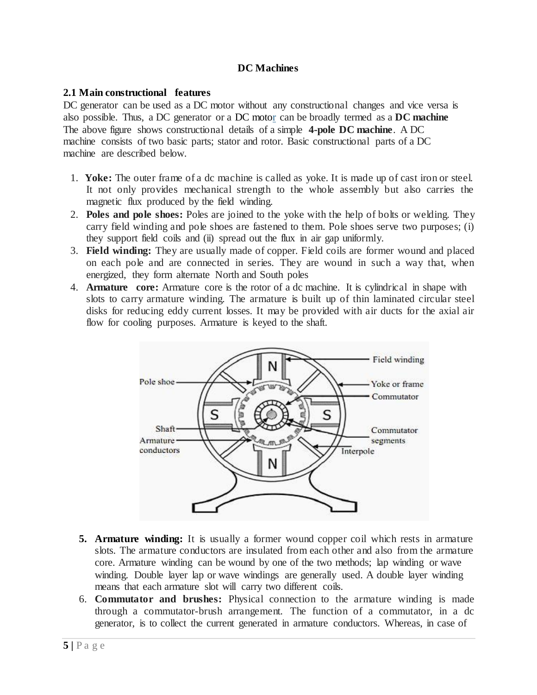# **DC Machines**

## **2.1 Main constructional features**

DC generator can be used as a DC motor without any constructional changes and vice versa is also possible. Thus, a DC generator or a [DC motor](https://www.electricaleasy.com/2014/01/basic-working-of-dc-motor.html) can be broadly termed as a **DC machine** The above figure shows constructional details of a simple **4-pole DC machine**. A DC machine consists of two basic parts; stator and rotor. Basic constructional parts of a DC machine are described below.

- 1. **Yoke:** The outer frame of a dc machine is called as yoke. It is made up of cast iron or steel. It not only provides mechanical strength to the whole assembly but also carries the magnetic flux produced by the field winding.
- 2. **Poles and pole shoes:** Poles are joined to the yoke with the help of bolts or welding. They carry field winding and pole shoes are fastened to them. Pole shoes serve two purposes; (i) they support field coils and (ii) spread out the flux in air gap uniformly.
- 3. **Field winding:** They are usually made of copper. Field coils are former wound and placed on each pole and are connected in series. They are wound in such a way that, when energized, they form alternate North and South poles
- 4. **Armature core:** Armature core is the rotor of a dc machine. It is cylindrical in shape with slots to carry armature winding. The armature is built up of thin laminated circular steel disks for reducing eddy current losses. It may be provided with air ducts for the axial air flow for cooling purposes. Armature is keyed to the shaft.



- **5. [Armature winding:](https://www.electricaleasy.com/2012/12/armature-winding-of-dc-machine.html)** It is usually a former wound copper coil which rests in armature slots. The armature conductors are insulated from each other and also from the armature core. Armature winding can be wound by one of the two methods; lap winding or wave winding. Double layer lap or wave windings are generally used. A double layer winding means that each armature slot will carry two different coils.
- 6. **Commutator and brushes:** Physical connection to the armature winding is made through a commutator-brush arrangement. The function of a commutator, in a dc generator, is to collect the current generated in armature conductors. Whereas, in case of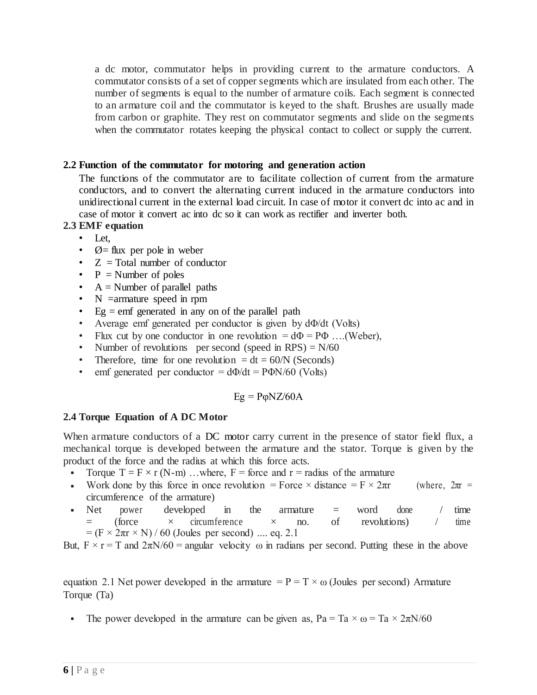a dc motor, commutator helps in providing current to the armature conductors. A commutator consists of a set of copper segments which are insulated from each other. The number of segments is equal to the number of armature coils. Each segment is connected to an armature coil and the commutator is keyed to the shaft. Brushes are usually made from carbon or graphite. They rest on commutator segments and slide on the segments when the commutator rotates keeping the physical contact to collect or supply the current.

# **2.2 Function of the commutator for motoring and generation action**

The functions of the commutator are to facilitate collection of current from the armature conductors, and to convert the alternating current induced in the armature conductors into unidirectional current in the external load circuit. In case of motor it convert dc into ac and in case of motor it convert ac into dc so it can work as rectifier and inverter both.

#### **2.3 EMF equation**

- Let,
- $\varnothing$  = flux per pole in weber
- $Z = \text{Total number of conductor}$
- $P =$  Number of poles
- $A =$  Number of parallel paths
- N = armature speed in rpm
- Eg  $=$  emf generated in any on of the parallel path
- Average emf generated per conductor is given by dΦ/dt (Volts)
- Flux cut by one conductor in one revolution  $= d\Phi = P\Phi$  ....(Weber),
- Number of revolutions per second (speed in RPS)  $= N/60$
- Therefore, time for one revolution  $= dt = 60/N$  (Seconds)
- emf generated per conductor  $= d\Phi/dt = P\Phi N/60$  (Volts)

#### $Eg = P\phi NZ/60A$

# **2.4 Torque Equation of A DC Motor**

When armature conductors of a [DC motor](https://www.electricaleasy.com/2014/01/basic-working-of-dc-motor.html) carry current in the presence of stator field flux, a mechanical torque is developed between the armature and the stator. Torque is given by the product of the force and the radius at which this force acts.

- Torque  $T = F \times r$  (N-m) ...where,  $F =$  force and  $r =$  radius of the armature
- Work done by this force in once revolution = Force  $\times$  distance = F  $\times$  2πr (where, 2πr = circumference of the armature)
- Net power developed in the armature = word done / time  $=$  (force  $\times$  circumference  $\times$  no. of revolutions) / time  $= (F \times 2\pi r \times N) / 60$  (Joules per second) .... eq. 2.1

But,  $F \times r = T$  and  $2\pi N/60$  = angular velocity  $\omega$  in radians per second. Putting these in the above

equation 2.1 Net power developed in the armature  $= P = T \times \omega$  (Joules per second) Armature Torque (Ta)

The power developed in the armature can be given as,  $Pa = Ta \times \omega = Ta \times 2\pi N/60$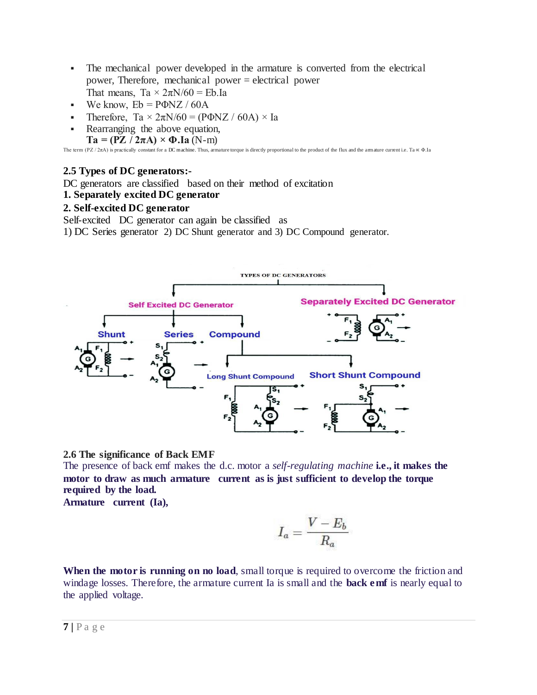- The mechanical power developed in the armature is converted from the electrical power, Therefore, mechanical power = electrical power That means, Ta  $\times$  2 $\pi$ N/60 = Eb.Ia
- We know,  $Eb = P\Phi NZ / 60A$
- **Therefore, Ta**  $\times$  2 $\pi$ N/60 = (PΦNZ / 60A)  $\times$  Ia
- Rearranging the above equation,  $Ta = (PZ / 2\pi A) \times \Phi \cdot Ia (N-m)$

The term (PZ / 2πA) is practically constant for [a DC machine.](https://www.electricaleasy.com/p/electrical-machines.html) Thus, armature torque is directly proportional to the product of the flux and the armature current i.e. Ta ∝ Φ.Ia

# **2.5 Types of DC generators:-**

DC generators are classified based on their method of excitation

# **1. Separately excited DC generator**

# **2. Self-excited DC generator**

Self-excited DC generator can again be classified as

1) DC Series generator 2) DC Shunt generator and 3) DC Compound generator.



**2.6 The significance of Back EMF**

The presence of back emf makes the d.c. motor a *self-regulating machine* **i.e., it makes the motor to draw as much armature current as is just sufficient to develop the torque required by the load.**

**Armature current (Ia),**

$$
I_a = \frac{V - E_b}{R_a}
$$

When the motor is running on no load, small torque is required to overcome the friction and windage losses. Therefore, the armature current Ia is small and the **back emf** is nearly equal to the applied voltage.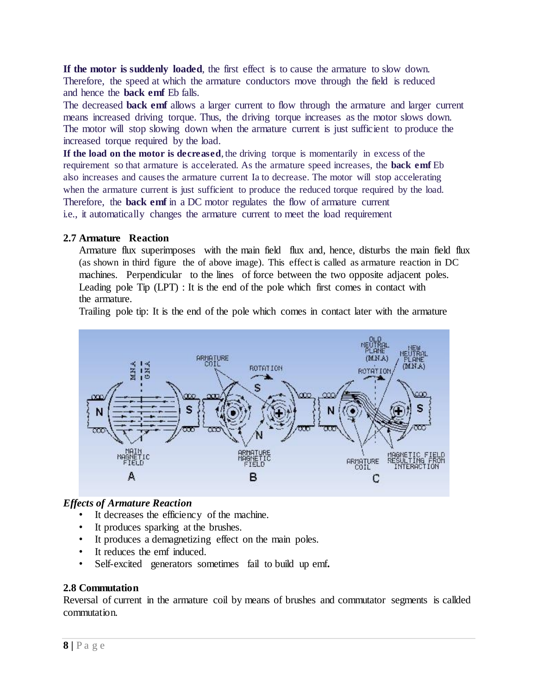**If the motor is suddenly loaded**, the first effect is to cause the armature to slow down. Therefore, the speed at which the armature conductors move through the field is reduced and hence the **back emf** Eb falls.

The decreased **back emf** allows a larger current to flow through the armature and larger current means increased driving torque. Thus, the driving torque increases as the motor slows down. The motor will stop slowing down when the armature current is just sufficient to produce the increased torque required by the load.

**If the load on the motor is decreased**, the driving torque is momentarily in excess of the requirement so that armature is accelerated. As the armature speed increases, the **back emf** Eb also increases and causes the armature current Ia to decrease. The motor will stop accelerating when the armature current is just sufficient to produce the reduced torque required by the load. Therefore, the **back emf** in a DC motor regulates the flow of armature current i.e., it automatically changes the armature current to meet the load requirement

#### **2.7 Armature Reaction**

Armature flux superimposes with the main field flux and, hence, disturbs the main field flux (as shown in third figure the of above image). This effect is called as armature reaction in DC machines. Perpendicular to the lines of force between the two opposite adjacent poles. Leading pole Tip (LPT) : It is the end of the pole which first comes in contact with the armature.

Trailing pole tip: It is the end of the pole which comes in contact later with the armature



# *Effects of Armature Reaction*

- It decreases the efficiency of the machine.
- It produces sparking at the brushes.
- It produces a demagnetizing effect on the main poles.
- It reduces the emf induced.
- Self-excited generators sometimes fail to build up emf**.**

# **2.8 Commutation**

Reversal of current in the armature coil by means of brushes and commutator segments is callded commutation.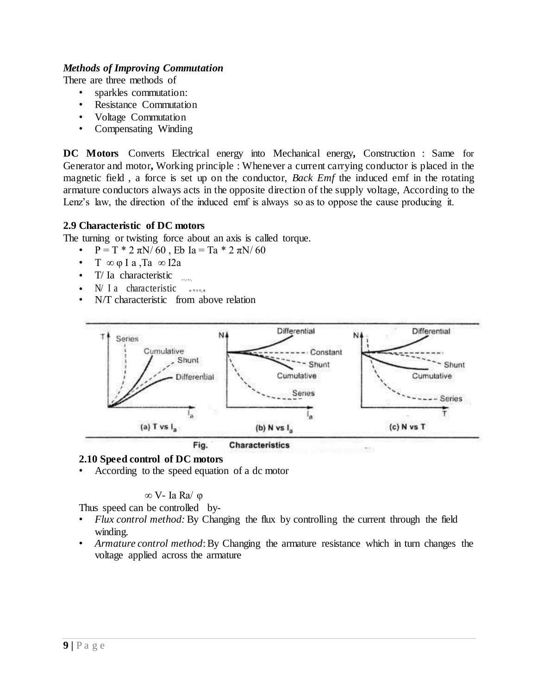#### *Methods of Improving Commutation*

There are three methods of

- sparkles commutation:
- Resistance Commutation
- Voltage Commutation
- Compensating Winding

**DC Motors** Converts Electrical energy into Mechanical energy**,** Construction : Same for Generator and motor**,** Working principle : Whenever a current carrying conductor is placed in the magnetic field , a force is set up on the conductor, *Back Emf* the induced emf in the rotating armature conductors always acts in the opposite direction of the supply voltage, According to the Lenz's law, the direction of the induced emf is always so as to oppose the cause producing it.

#### **2.9 Characteristic of DC motors**

The turning or twisting force about an axis is called torque.

- $P = T * 2 πN/60$ , Eb Ia = Ta \* 2 πN/60
- $T \propto \varphi I a$ ,  $Ta \propto I2a$
- T/ Ia characteristic
- $N/I$  a characteristic  $\sum_{s \in N \times E, \phi}$
- N/T characteristic from above relation



#### **2.10 Speed control of DC motors**

• According to the speed equation of a dc motor

#### ∞ V- Ia Ra/ φ

Thus speed can be controlled by-

- *Flux control method:* By Changing the flux by controlling the current through the field winding.
- *Armature control method*: By Changing the armature resistance which in turn changes the voltage applied across the armature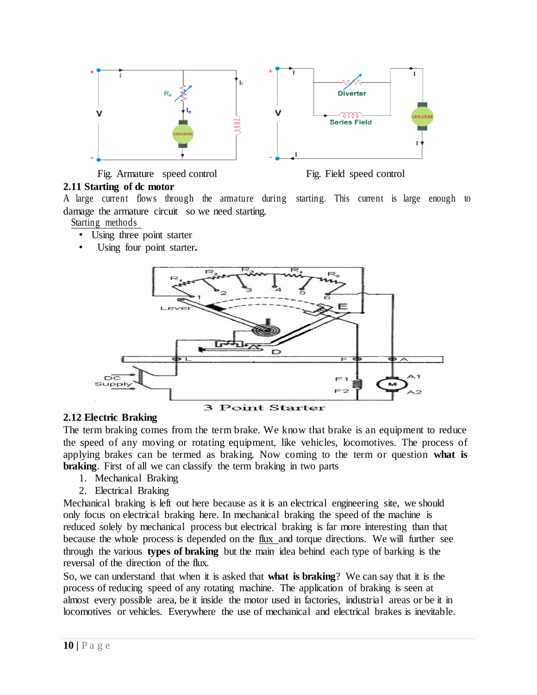

Fig. Armature speed control Fig. Field speed control



# **2.11 Starting of dc motor**

A large current flows through the armature during starting. This current is large enough to damage the armature circuit so we need starting.

Starting methods

- Using three point starter
- Using four point starter.



# **2.12 Electric Braking**

The term braking comes from the term brake. We know that brake is an equipment to reduce the speed of any moving or rotating equipment, like vehicles, locomotives. The process of applying brakes can be termed as braking. Now coming to the term or question **what is braking**. First of all we can classify the term braking in two parts

- 1. Mechanical Braking
- 2. Electrical Braking

Mechanical braking is left out here because as it is an electrical engineering site, we should only focus on electrical braking here. In mechanical braking the speed of the machine is reduced solely by mechanical process but electrical braking is far more interesting than that because the whole process is depended on the [flux a](https://www.electrical4u.com/what-is-flux-types-of-flux/)nd torque directions. We will further see through the various **types of braking** but the main idea behind each type of barking is the reversal of the direction of the flux.

So, we can understand that when it is asked that **what is braking**? We can say that it is the process of reducing speed of any rotating machine. The application of braking is seen at almost every possible area, be it inside the motor used in factories, industrial areas or be it in locomotives or vehicles. Everywhere the use of mechanical and electrical brakes is inevitable.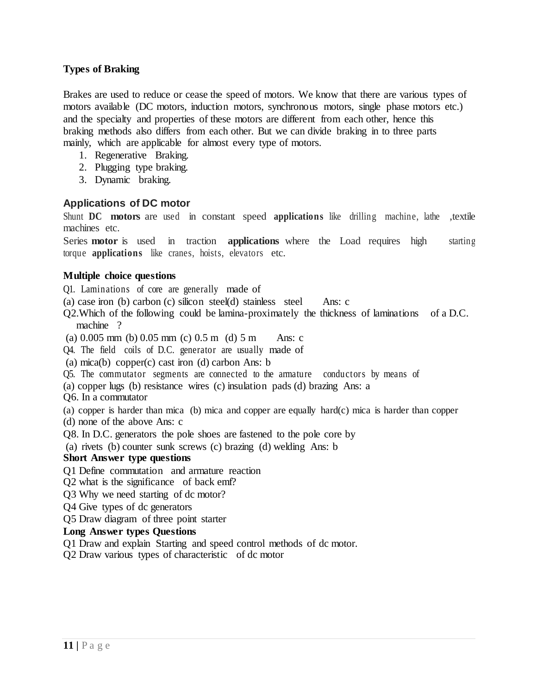## **Types of Braking**

Brakes are used to reduce or cease the speed of motors. We know that there are various types of motors available [\(DC motors, induction motors,](https://www.electrical4u.com/dc-motor-or-direct-current-motor/) [synchronous motors, s](https://www.electrical4u.com/synchronous-motor-working-principle/)ingle phase motors etc.) and the specialty and properties of these motors are different from each other, hence this braking methods also differs from each other. But we can divide braking in to three parts mainly, which are applicable for almost every type of motors.

- 1. Regenerative Braking.
- 2. Plugging type braking.
- 3. Dynamic braking.

#### **Applications of DC motor**

Shunt **DC motors** are used in constant speed **applications** like drilling machine, lathe ,textile machines etc.

Series **motor** is used in traction **applications** where the Load requires high starting torque **applications** like cranes, hoists, elevators etc.

#### **Multiple choice questions**

Q1. Laminations of core are generally made of

(a) case iron (b) carbon (c) silicon steel(d) stainless steel Ans: c

- Q2.Which of the following could be lamina-proximately the thickness of laminations of a D.C. machine ?
- (a)  $0.005$  mm (b)  $0.05$  mm (c)  $0.5$  m (d)  $5$  m Ans: c
- Q4. The field coils of D.C. generator are usually made of
- (a) mica(b) copper(c) cast iron (d) carbon Ans: b
- Q5. The commutator segments are connected to the armature conductors by means of
- (a) copper lugs (b) resistance wires (c) insulation pads (d) brazing Ans: a
- Q6. In a commutator

(a) copper is harder than mica (b) mica and copper are equally hard(c) mica is harder than copper

- (d) none of the above Ans: c
- Q8. In D.C. generators the pole shoes are fastened to the pole core by

(a) rivets (b) counter sunk screws (c) brazing (d) welding Ans: b

#### **Short Answer type questions**

- Q1 Define commutation and armature reaction
- Q2 what is the significance of back emf?
- Q3 Why we need starting of dc motor?
- Q4 Give types of dc generators
- Q5 Draw diagram of three point starter

#### **Long Answer types Questions**

- Q1 Draw and explain Starting and speed control methods of dc motor.
- Q2 Draw various types of characteristic of dc motor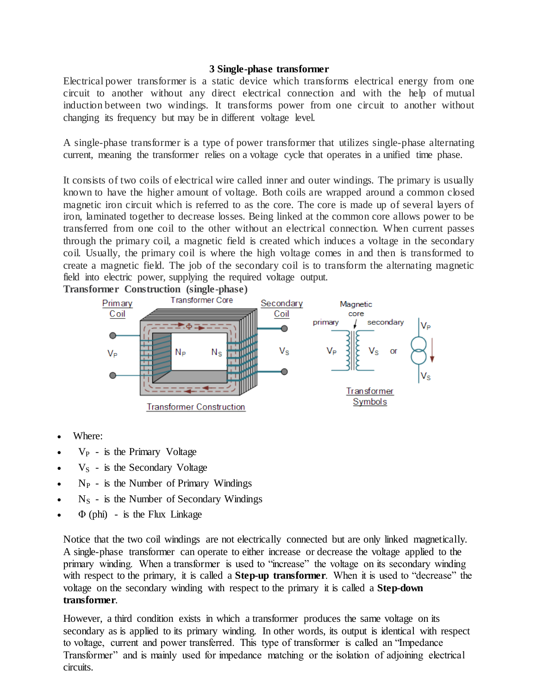#### **3 Single-phase transformer**

Electrical power transformer is a static device which transforms electrical energy from one circuit to another without any direct electrical connection and with the help of mutual induction between two windings. It transforms power from one circuit to another without changing its frequency but may be in different voltage level.

A single-phase transformer is a type of power transformer that utilizes single-phase alternating current, meaning the transformer relies on a voltage cycle that operates in a unified time phase.

It consists of two coils of electrical wire called inner and outer windings. The primary is usually known to have the higher amount of voltage. Both coils are wrapped around a common closed magnetic iron circuit which is referred to as the core. The core is made up of several layers of iron, laminated together to decrease losses. Being linked at the common core allows power to be transferred from one coil to the other without an electrical connection. When current passes through the primary coil, a magnetic field is created which induces a voltage in the secondary coil. Usually, the primary coil is where the high voltage comes in and then is transformed to create a magnetic field. The job of the secondary coil is to transform the alternating magnetic field into electric power, supplying the required voltage output.



- Where:
- $V_P$  is the Primary Voltage
- $\bullet$  V<sub>S</sub> is the Secondary Voltage
- $N_P$  is the Number of Primary Windings
- $N<sub>S</sub>$  is the Number of Secondary Windings
- $\Phi$  (phi) is the Flux Linkage

Notice that the two coil windings are not electrically connected but are only linked magnetically. A single-phase transformer can operate to either increase or decrease the voltage applied to the primary winding. When a transformer is used to "increase" the voltage on its secondary winding with respect to the primary, it is called a **Step-up transformer**. When it is used to "decrease" the voltage on the secondary winding with respect to the primary it is called a **Step-down transformer**.

However, a third condition exists in which a transformer produces the same voltage on its secondary as is applied to its primary winding. In other words, its output is identical with respect to voltage, current and power transferred. This type of transformer is called an "Impedance Transformer" and is mainly used for impedance matching or the isolation of adjoining electrical circuits.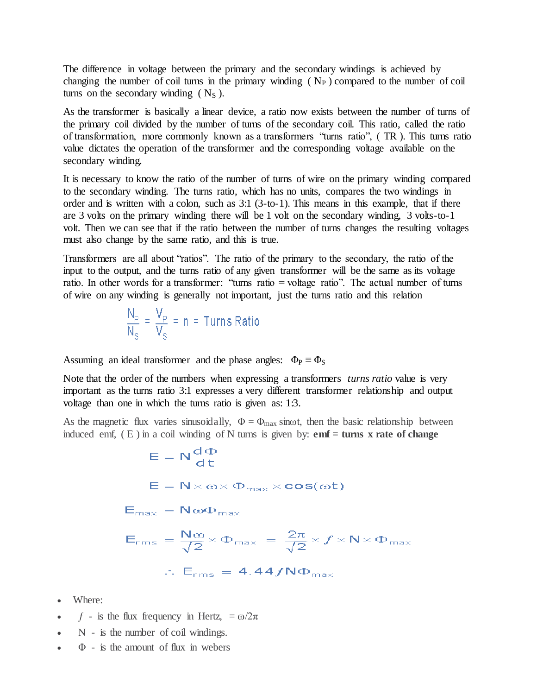The difference in voltage between the primary and the secondary windings is achieved by changing the number of coil turns in the primary winding  $(N_P)$  compared to the number of coil turns on the secondary winding  $(N<sub>S</sub>)$ .

As the transformer is basically a linear device, a ratio now exists between the number of turns of the primary coil divided by the number of turns of the secondary coil. This ratio, called the ratio of transformation, more commonly known as a transformers "turns ratio", ( TR ). This turns ratio value dictates the operation of the transformer and the corresponding voltage available on the secondary winding.

It is necessary to know the ratio of the number of turns of wire on the primary winding compared to the secondary winding. The turns ratio, which has no units, compares the two windings in order and is written with a colon, such as 3:1 (3-to-1). This means in this example, that if there are 3 volts on the primary winding there will be 1 volt on the secondary winding, 3 volts-to-1 volt. Then we can see that if the ratio between the number of turns changes the resulting voltages must also change by the same ratio, and this is true.

Transformers are all about "ratios". The ratio of the primary to the secondary, the ratio of the input to the output, and the turns ratio of any given transformer will be the same as its voltage ratio. In other words for a transformer: "turns ratio = voltage ratio". The actual number of turns of wire on any winding is generally not important, just the turns ratio and this relation

$$
\frac{N_{\rm p}}{N_{\rm s}} = \frac{V_{\rm p}}{V_{\rm s}} = n = \text{Turns Ratio}
$$

Assuming an ideal transformer and the phase angles:  $\Phi_P \equiv \Phi_S$ 

Note that the order of the numbers when expressing a transformers *turns ratio* value is very important as the turns ratio 3:1 expresses a very different transformer relationship and output voltage than one in which the turns ratio is given as: 1:3.

As the magnetic flux varies sinusoidally,  $\Phi = \Phi_{\text{max}}$  sinot, then the basic relationship between induced emf, ( E ) in a coil winding of N turns is given by: **emf = turns x rate of change**

$$
E = N \frac{d\Phi}{dt}
$$
  
\n
$$
E = N \times \omega \times \Phi_{\text{max}} \times \cos(\omega t)
$$
  
\n
$$
E_{\text{max}} = N \omega \Phi_{\text{max}}
$$
  
\n
$$
E_{\text{rms}} = \frac{N \omega}{\sqrt{2}} \times \Phi_{\text{max}} = \frac{2\pi}{\sqrt{2}} \times f \times N \times \Phi_{\text{max}}
$$
  
\n
$$
\therefore E_{\text{rms}} = 4.44 f N \Phi_{\text{max}}
$$

- Where:
- $\bullet$  f is the flux frequency in Hertz,  $=\omega/2\pi$
- Ν is the number of coil windings.
- $\Phi$  is the amount of flux in webers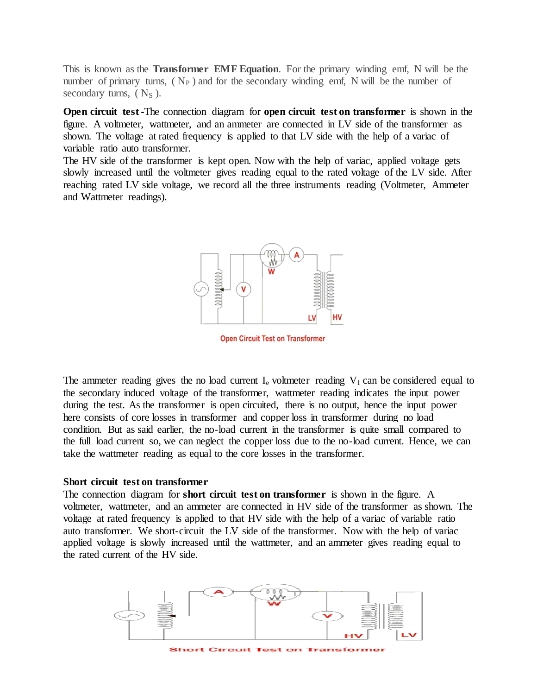This is known as the **Transformer EMF Equation**. For the primary winding emf, N will be the number of primary turns,  $(N_P)$  and for the secondary winding emf, N will be the number of secondary turns,  $(N<sub>S</sub>)$ .

**Open circuit test -**The connection diagram for **open circuit test on transformer** is shown in the figure. A [voltmeter,](https://www.electrical4u.com/working-principle-of-voltmeter-and-types-of-voltmeter/) [wattmeter,](https://www.electrical4u.com/electrodynamometer-type-wattmeter/) and an [ammeter](https://www.electrical4u.com/ammeter/) are connected in LV side of the transformer as shown. The [voltage](https://www.electrical4u.com/voltage-or-electric-potential-difference/) at rated frequency is applied to that LV side with the help of a variac of variable ratio auto [transformer.](https://www.electrical4u.com/what-is-auto-transformer/)

The HV side of the transformer is kept open. Now with the help of variac, applied voltage gets slowly increased until the voltmeter gives reading equal to the rated voltage of the LV side. After reaching rated LV side voltage, we record all the three instruments reading (Voltmeter, Ammeter and Wattmeter readings).



**Open Circuit Test on Transformer** 

The ammeter reading gives the no load current  $I_e$  voltmeter reading  $V_1$  can be considered equal to the secondary induced voltage of the transformer, [wattmeter](https://www.electrical4u.com/electrodynamometer-type-wattmeter/) reading indicates the input power during the test. As the transformer is open circuited, there is no output, hence the input power here consists of core losses in [transformer](https://www.electrical4u.com/hysteresis-eddy-current-iron-or-core-losses-and-copper-loss-in-transformer/) and copper loss in transformer during no load condition. But as said earlier, the no-load current in the transformer is quite small compared to the full load current so, we can neglect the copper loss due to the no-load current. Hence, we can take the wattmeter reading as equal to the core losses in the transformer.

#### **Short circuit test on transformer**

The connection diagram for **short circuit test on transformer** is shown in the figure. A voltmeter, wattmeter, and an ammeter are connected in HV side of the transformer as shown. The [voltage](https://www.electrical4u.com/voltage-or-electric-potential-difference/) at rated frequency is applied to that HV side with the help of a variac of variable ratio auto [transformer.](https://www.electrical4u.com/what-is-auto-transformer/) We short-circuit the LV side of the transformer. Now with the help of variac applied voltage is slowly increased until the [wattmeter,](https://www.electrical4u.com/electrodynamometer-type-wattmeter/) and an [ammeter](https://www.electrical4u.com/ammeter/) gives reading equal to the rated current of the HV side.



**Circuit Test on Transform**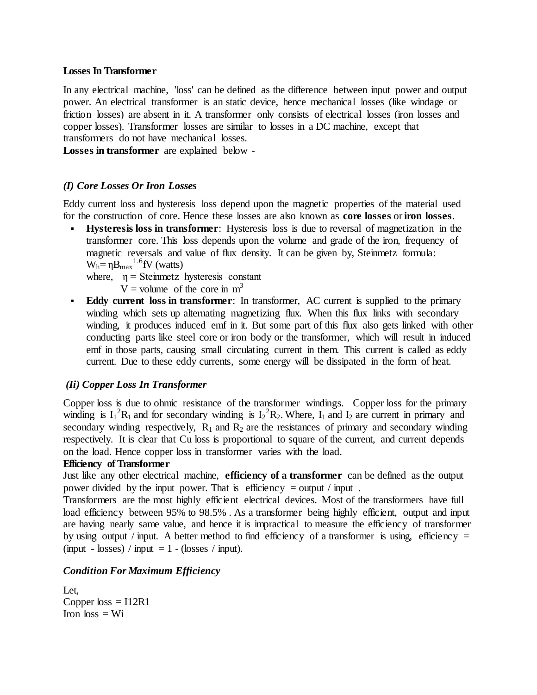#### **Losses In Transformer**

In any [electrical machine,](http://www.electricaleasy.com/p/electrical-machines.html) 'loss' can be defined as the difference between input power and output power. An [electrical transformer](http://www.electricaleasy.com/2014/03/electrical-transformer-basic.html) is an static device, hence mechanical losses (like windage or friction losses) are absent in it. A transformer only consists of electrical losses (iron losses and copper losses). Transformer losses are similar to [losses in a DC machine,](http://www.electricaleasy.com/2014/01/losses-in-dc-machine.html) except that transformers do not have mechanical losses.

**Losses in transformer** are explained below -

## *(I) Core Losses Or Iron Losses*

Eddy current loss and hysteresis loss depend upon the magnetic properties of the material used for the construction of core. Hence these losses are also known as **core losses** or **iron losses**.

 **Hysteresis loss in transformer**: Hysteresis loss is due to reversal of magnetization in the transformer core. This loss depends upon the volume and grade of the iron, frequency of magnetic reversals and value of flux density. It can be given by, Steinmetz formula:  $W_h = \eta B_{max}^{1.6}$ fV (watts)

where,  $\eta$  = Steinmetz hysteresis constant

 $V =$  volume of the core in m<sup>3</sup>

 **Eddy current loss in transformer**: In transformer, AC current is supplied to the primary winding which sets up alternating magnetizing flux. When this flux links with secondary winding, it produces induced emf in it. But some part of this flux also gets linked with other conducting parts like steel core or iron body or the transformer, which will result in induced emf in those parts, causing small circulating current in them. This current is called as eddy current. Due to these eddy currents, some energy will be dissipated in the form of heat.

#### *(Ii) Copper Loss In Transformer*

Copper loss is due to ohmic resistance of the transformer windings. Copper loss for the primary winding is  $I_1^2R_1$  and for secondary winding is  $I_2^2R_2$ . Where,  $I_1$  and  $I_2$  are current in primary and secondary winding respectively,  $R_1$  and  $R_2$  are the resistances of primary and secondary winding respectively. It is clear that Cu loss is proportional to square of the current, and current depends on the load. Hence copper loss in transformer varies with the load.

#### **Efficiency of Transformer**

Just like any other electrical machine, **efficiency of a transformer** can be defined as the output power divided by the input power. That is efficiency  $=$  output / input.

Transformers are the most highly efficient electrical devices. Most of the transformers have full load efficiency between 95% to 98.5% . As a transformer being highly efficient, output and input are having nearly same value, and hence it is impractical to measure the efficiency of transformer by using output / input. A better method to find efficiency of a transformer is using, efficiency  $=$ (input - losses) / input = 1 - (losses / input).

#### *Condition For Maximum Efficiency*

Let, Copper  $loss = I12R1$ Iron  $loss = Wi$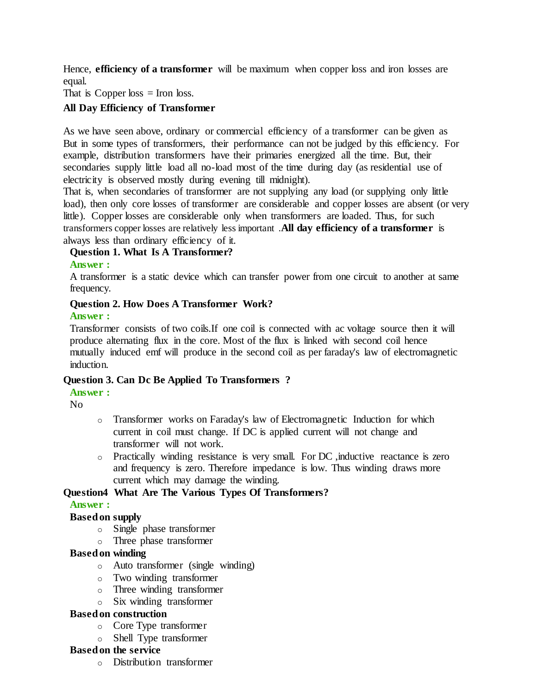Hence, **efficiency of a transformer** will be maximum when copper loss and iron losses are equal.

That is Copper loss  $=$  Iron loss.

# **All Day Efficiency of Transformer**

As we have seen above, ordinary or commercial efficiency of a transformer can be given as But in some types of transformers, their performance can not be judged by this efficiency. For example, distribution transformers have their primaries energized all the time. But, their secondaries supply little load all no-load most of the time during day (as residential use of electricity is observed mostly during evening till midnight).

That is, when secondaries of transformer are not supplying any load (or supplying only little load), then only core losses of transformer are considerable and copper losses are absent (or very little). Copper losses are considerable only when transformers are loaded. Thus, for such transformers copper losses are relatively less important .**All day efficiency of a transformer** is always less than ordinary efficiency of it.

## **Question 1. What Is A Transformer?**

#### **Answer :**

A transformer is a static device which can transfer power from one circuit to another at same frequency.

## **Question 2. How Does A Transformer Work?**

#### **Answer :**

Transformer consists of two coils.If one coil is connected with ac voltage source then it will produce alternating flux in the core. Most of the flux is linked with second coil hence mutually induced emf will produce in the second coil as per faraday's law of electromagnetic induction.

#### **Question 3. Can Dc Be Applied To Transformers ?**

#### **Answer :**

No

- o Transformer works on Faraday's law of Electromagnetic Induction for which current in coil must change. If DC is applied current will not change and transformer will not work.
- o Practically winding resistance is very small. For DC ,inductive reactance is zero and frequency is zero. Therefore impedance is low. Thus winding draws more current which may damage the winding.

#### **Question4 What Are The Various Types Of Transformers?**

#### **Answer :**

#### **Based on supply**

- o Single phase transformer
- o Three phase transformer

#### **Based on winding**

- o Auto transformer (single winding)
- o Two winding transformer
- o Three winding transformer
- o Six winding transformer

#### **Based on construction**

- o Core Type transformer
- o Shell Type transformer

#### **Based on the service**

o Distribution transformer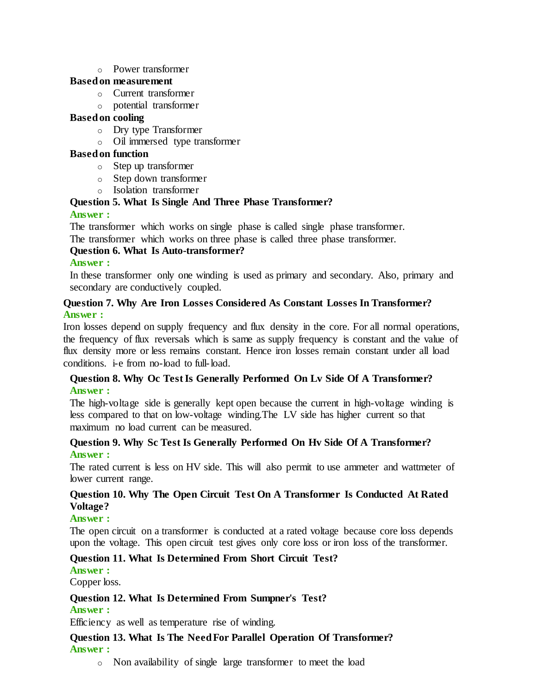#### o Power transformer

#### **Based on measurement**

- o Current transformer
- o potential transformer

## **Based on cooling**

- o Dry type Transformer
- o Oil immersed type transformer

## **Based on function**

- o Step up transformer
- o Step down transformer
- o Isolation transformer

# **Question 5. What Is Single And Three Phase Transformer?**

## **Answer :**

The transformer which works on single phase is called single phase transformer.

The transformer which works on three phase is called three phase transformer.

# **Question 6. What Is Auto-transformer?**

#### **Answer :**

In these transformer only one winding is used as primary and secondary. Also, primary and secondary are conductively coupled.

## **Question 7. Why Are Iron Losses Considered As Constant Losses In Transformer? Answer :**

Iron losses depend on supply frequency and flux density in the core. For all normal operations, the frequency of flux reversals which is same as supply frequency is constant and the value of flux density more or less remains constant. Hence iron losses remain constant under all load conditions. i-e from no-load to full-load.

# **Question 8. Why Oc Test Is Generally Performed On Lv Side Of A Transformer? Answer :**

The high-voltage side is generally kept open because the current in high-voltage winding is less compared to that on low-voltage winding.The LV side has higher current so that maximum no load current can be measured.

## **Question 9. Why Sc Test Is Generally Performed On Hv Side Of A Transformer? Answer :**

The rated current is less on HV side. This will also permit to use ammeter and wattmeter of lower current range.

# **Question 10. Why The Open Circuit Test On A Transformer Is Conducted At Rated Voltage?**

#### **Answer :**

The open circuit on a transformer is conducted at a rated voltage because core loss depends upon the voltage. This open circuit test gives only core loss or iron loss of the transformer.

# **Question 11. What Is Determined From Short Circuit Test?**

# **Answer :**

Copper loss.

#### **Question 12. What Is Determined From Sumpner's Test? Answer :**

Efficiency as well as temperature rise of winding.

# **Question 13. What Is The Need For Parallel Operation Of Transformer? Answer :**

o Non availability of single large transformer to meet the load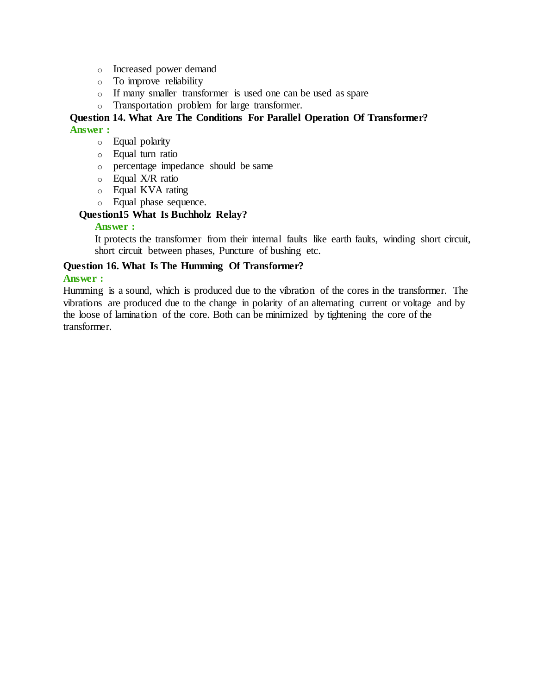- o Increased power demand
- o To improve reliability
- o If many smaller transformer is used one can be used as spare
- o Transportation problem for large transformer.

#### **Question 14. What Are The Conditions For Parallel Operation Of Transformer? Answer :**

- o Equal polarity
- o Equal turn ratio
- o percentage impedance should be same
- o Equal X/R ratio
- o Equal KVA rating
- o Equal phase sequence.

# **Question15 What Is Buchholz Relay?**

#### **Answer :**

It protects the transformer from their internal faults like earth faults, winding short circuit, short circuit between phases, Puncture of bushing etc.

## **Question 16. What Is The Humming Of Transformer?**

#### **Answer :**

Humming is a sound, which is produced due to the vibration of the cores in the transformer. The vibrations are produced due to the change in polarity of an alternating current or voltage and by the loose of lamination of the core. Both can be minimized by tightening the core of the transformer.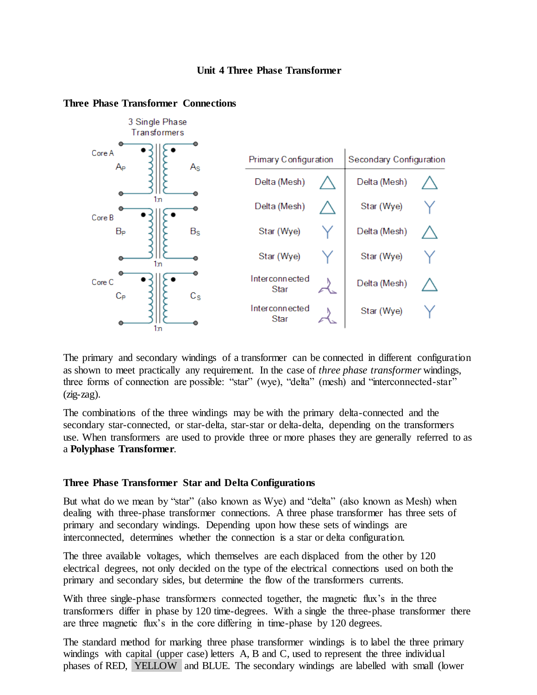#### **Unit 4 Three Phase Transformer**



## **Three Phase Transformer Connections**

The primary and secondary windings of a transformer can be connected in different configuration as shown to meet practically any requirement. In the case of *three phase transformer* windings, three forms of connection are possible: "star" (wye), "delta" (mesh) and "interconnected-star"  $(zig-zag)$ .

The combinations of the three windings may be with the primary delta-connected and the secondary star-connected, or star-delta, star-star or delta-delta, depending on the transformers use. When transformers are used to provide three or more phases they are generally referred to as a **Polyphase Transformer**.

#### **Three Phase Transformer Star and Delta Configurations**

But what do we mean by "star" (also known as Wye) and "delta" (also known as Mesh) when dealing with three-phase transformer connections. A three phase transformer has three sets of primary and secondary windings. Depending upon how these sets of windings are interconnected, determines whether the connection is a star or delta configuration.

The three available voltages, which themselves are each displaced from the other by 120 electrical degrees, not only decided on the type of the electrical connections used on both the primary and secondary sides, but determine the flow of the transformers currents.

With three single-phase transformers connected together, the magnetic flux's in the three transformers differ in phase by 120 time-degrees. With a single the three-phase transformer there are three magnetic flux's in the core differing in time-phase by 120 degrees.

The standard method for marking three phase transformer windings is to label the three primary windings with capital (upper case) letters A, B and C, used to represent the three individual phases of RED, YELLOW and BLUE. The secondary windings are labelled with small (lower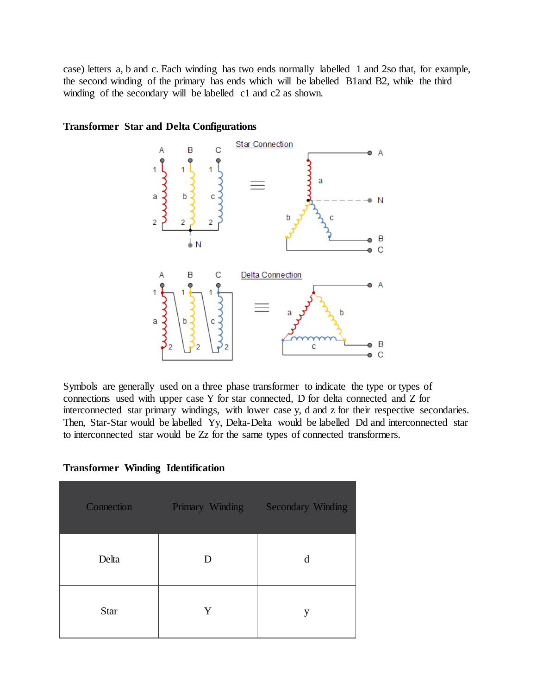case) letters a, b and c. Each winding has two ends normally labelled 1 and 2so that, for example, the second winding of the primary has ends which will be labelled B1and B2, while the third winding of the secondary will be labelled c1 and c2 as shown.



#### **Transformer Star and Delta Configurations**

Symbols are generally used on a three phase transformer to indicate the type or types of connections used with upper case Y for star connected, D for delta connected and Z for interconnected star primary windings, with lower case y, d and z for their respective secondaries. Then, Star-Star would be labelled Yy, Delta-Delta would be labelled Dd and interconnected star to interconnected star would be Zz for the same types of connected transformers.

| Connection  | Primary Winding<br>a a shekara | <b>Secondary Winding</b> |
|-------------|--------------------------------|--------------------------|
| Delta       | D                              | d                        |
| <b>Star</b> | Y                              | y                        |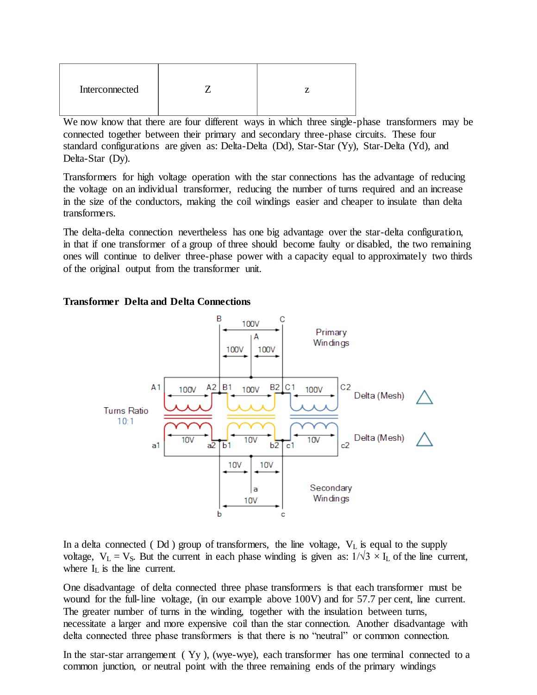| Interconnected |  |
|----------------|--|
|                |  |

We now know that there are four different ways in which three single-phase transformers may be connected together between their primary and secondary three-phase circuits. These four standard configurations are given as: Delta-Delta (Dd), Star-Star (Yy), Star-Delta (Yd), and Delta-Star (Dy).

Transformers for high voltage operation with the star connections has the advantage of reducing the voltage on an individual transformer, reducing the number of turns required and an increase in the size of the conductors, making the coil windings easier and cheaper to insulate than delta transformers.

The delta-delta connection nevertheless has one big advantage over the star-delta configuration, in that if one transformer of a group of three should become faulty or disabled, the two remaining ones will continue to deliver three-phase power with a capacity equal to approximately two thirds of the original output from the transformer unit.

#### **Transformer Delta and Delta Connections**



In a delta connected ( $Dd$ ) group of transformers, the line voltage,  $V<sub>L</sub>$  is equal to the supply voltage,  $V_L = V_S$ . But the current in each phase winding is given as:  $1/\sqrt{3} \times I_L$  of the line current, where  $I_L$  is the line current.

One disadvantage of delta connected three phase transformers is that each transformer must be wound for the full-line voltage, (in our example above 100V) and for 57.7 per cent, line current. The greater number of turns in the winding, together with the insulation between turns, necessitate a larger and more expensive coil than the star connection. Another disadvantage with delta connected three phase transformers is that there is no "neutral" or common connection.

In the star-star arrangement ( Yy ), (wye-wye), each transformer has one terminal connected to a common junction, or neutral point with the three remaining ends of the primary windings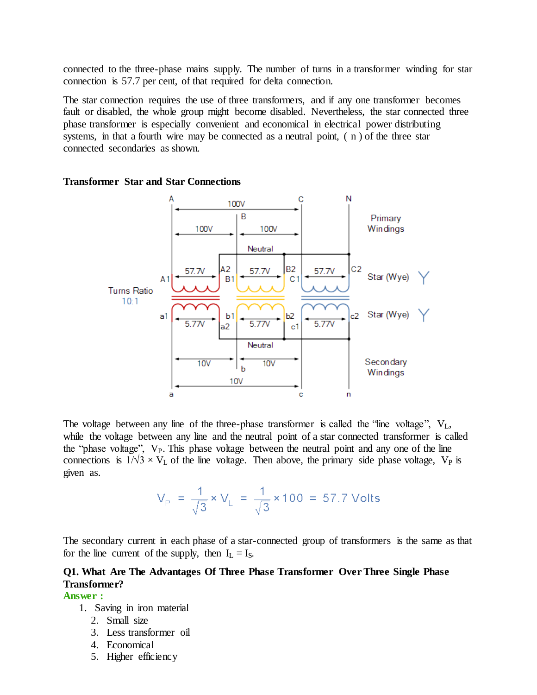connected to the three-phase mains supply. The number of turns in a transformer winding for star connection is 57.7 per cent, of that required for delta connection.

The star connection requires the use of three transformers, and if any one transformer becomes fault or disabled, the whole group might become disabled. Nevertheless, the star connected three phase transformer is especially convenient and economical in electrical power distributing systems, in that a fourth wire may be connected as a neutral point, ( n ) of the three star connected secondaries as shown.



#### **Transformer Star and Star Connections**

The voltage between any line of the three-phase transformer is called the "line voltage",  $V_L$ , while the voltage between any line and the neutral point of a star connected transformer is called the "phase voltage", V<sub>P</sub>. This phase voltage between the neutral point and any one of the line connections is  $1/\sqrt{3} \times V_L$  of the line voltage. Then above, the primary side phase voltage,  $V_P$  is given as.

$$
V_{\text{P}} = \frac{1}{\sqrt{3}} \times V_{\text{L}} = \frac{1}{\sqrt{3}} \times 100 = 57.7 \text{ Volts}
$$

The secondary current in each phase of a star-connected group of transformers is the same as that for the line current of the supply, then  $I_L = I_S$ .

## **Q1. What Are The Advantages Of Three Phase Transformer Over Three Single Phase Transformer?**

#### **Answer :**

- 1. Saving in iron material
	- 2. Small size
	- 3. Less transformer oil
	- 4. Economical
	- 5. Higher efficiency